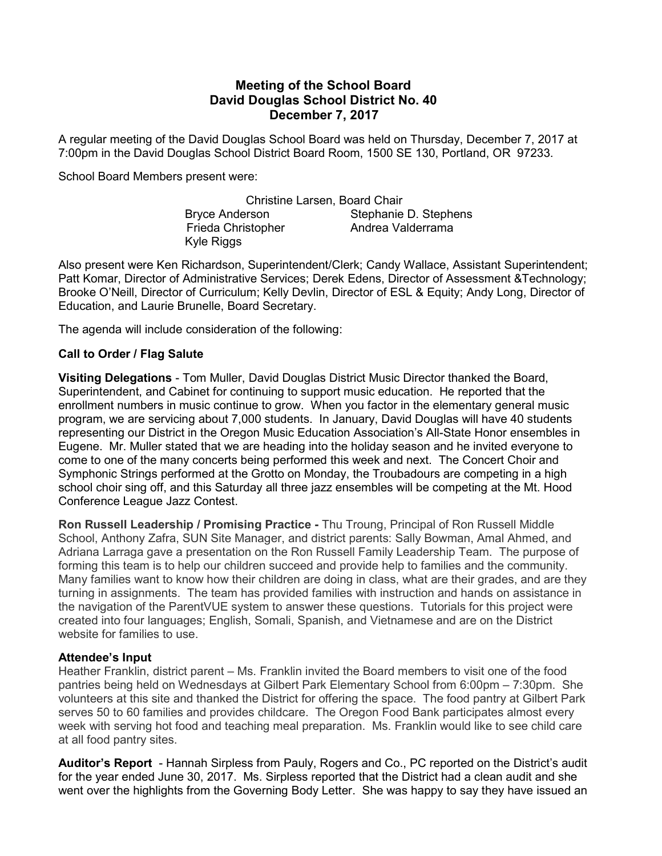# Meeting of the School Board David Douglas School District No. 40 December 7, 2017

A regular meeting of the David Douglas School Board was held on Thursday, December 7, 2017 at 7:00pm in the David Douglas School District Board Room, 1500 SE 130, Portland, OR 97233.

School Board Members present were:

Christine Larsen, Board Chair Bryce Anderson Stephanie D. Stephens Frieda Christopher **Andrea Valderrama** Kyle Riggs

Also present were Ken Richardson, Superintendent/Clerk; Candy Wallace, Assistant Superintendent; Patt Komar, Director of Administrative Services; Derek Edens, Director of Assessment &Technology; Brooke O'Neill, Director of Curriculum; Kelly Devlin, Director of ESL & Equity; Andy Long, Director of Education, and Laurie Brunelle, Board Secretary.

The agenda will include consideration of the following:

### Call to Order / Flag Salute

Visiting Delegations - Tom Muller, David Douglas District Music Director thanked the Board, Superintendent, and Cabinet for continuing to support music education. He reported that the enrollment numbers in music continue to grow. When you factor in the elementary general music program, we are servicing about 7,000 students. In January, David Douglas will have 40 students representing our District in the Oregon Music Education Association's All-State Honor ensembles in Eugene. Mr. Muller stated that we are heading into the holiday season and he invited everyone to come to one of the many concerts being performed this week and next. The Concert Choir and Symphonic Strings performed at the Grotto on Monday, the Troubadours are competing in a high school choir sing off, and this Saturday all three jazz ensembles will be competing at the Mt. Hood Conference League Jazz Contest.

Ron Russell Leadership / Promising Practice - Thu Troung, Principal of Ron Russell Middle School, Anthony Zafra, SUN Site Manager, and district parents: Sally Bowman, Amal Ahmed, and Adriana Larraga gave a presentation on the Ron Russell Family Leadership Team. The purpose of forming this team is to help our children succeed and provide help to families and the community. Many families want to know how their children are doing in class, what are their grades, and are they turning in assignments. The team has provided families with instruction and hands on assistance in the navigation of the ParentVUE system to answer these questions. Tutorials for this project were created into four languages; English, Somali, Spanish, and Vietnamese and are on the District website for families to use.

### Attendee's Input

Heather Franklin, district parent – Ms. Franklin invited the Board members to visit one of the food pantries being held on Wednesdays at Gilbert Park Elementary School from 6:00pm – 7:30pm. She volunteers at this site and thanked the District for offering the space. The food pantry at Gilbert Park serves 50 to 60 families and provides childcare. The Oregon Food Bank participates almost every week with serving hot food and teaching meal preparation. Ms. Franklin would like to see child care at all food pantry sites.

Auditor's Report - Hannah Sirpless from Pauly, Rogers and Co., PC reported on the District's audit for the year ended June 30, 2017. Ms. Sirpless reported that the District had a clean audit and she went over the highlights from the Governing Body Letter. She was happy to say they have issued an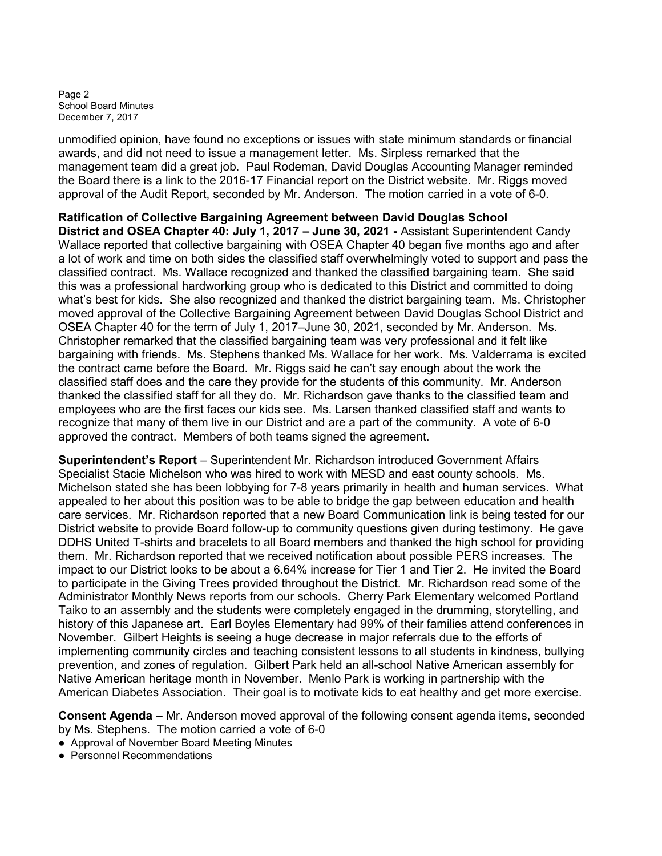Page 2 School Board Minutes December 7, 2017

unmodified opinion, have found no exceptions or issues with state minimum standards or financial awards, and did not need to issue a management letter. Ms. Sirpless remarked that the management team did a great job. Paul Rodeman, David Douglas Accounting Manager reminded the Board there is a link to the 2016-17 Financial report on the District website. Mr. Riggs moved approval of the Audit Report, seconded by Mr. Anderson. The motion carried in a vote of 6-0.

Ratification of Collective Bargaining Agreement between David Douglas School District and OSEA Chapter 40: July 1, 2017 – June 30, 2021 - Assistant Superintendent Candy Wallace reported that collective bargaining with OSEA Chapter 40 began five months ago and after a lot of work and time on both sides the classified staff overwhelmingly voted to support and pass the classified contract. Ms. Wallace recognized and thanked the classified bargaining team. She said this was a professional hardworking group who is dedicated to this District and committed to doing what's best for kids. She also recognized and thanked the district bargaining team. Ms. Christopher moved approval of the Collective Bargaining Agreement between David Douglas School District and OSEA Chapter 40 for the term of July 1, 2017–June 30, 2021, seconded by Mr. Anderson. Ms. Christopher remarked that the classified bargaining team was very professional and it felt like bargaining with friends. Ms. Stephens thanked Ms. Wallace for her work. Ms. Valderrama is excited the contract came before the Board. Mr. Riggs said he can't say enough about the work the classified staff does and the care they provide for the students of this community. Mr. Anderson thanked the classified staff for all they do. Mr. Richardson gave thanks to the classified team and employees who are the first faces our kids see. Ms. Larsen thanked classified staff and wants to recognize that many of them live in our District and are a part of the community. A vote of 6-0 approved the contract. Members of both teams signed the agreement.

Superintendent's Report – Superintendent Mr. Richardson introduced Government Affairs Specialist Stacie Michelson who was hired to work with MESD and east county schools. Ms. Michelson stated she has been lobbying for 7-8 years primarily in health and human services. What appealed to her about this position was to be able to bridge the gap between education and health care services. Mr. Richardson reported that a new Board Communication link is being tested for our District website to provide Board follow-up to community questions given during testimony. He gave DDHS United T-shirts and bracelets to all Board members and thanked the high school for providing them. Mr. Richardson reported that we received notification about possible PERS increases. The impact to our District looks to be about a 6.64% increase for Tier 1 and Tier 2. He invited the Board to participate in the Giving Trees provided throughout the District. Mr. Richardson read some of the Administrator Monthly News reports from our schools. Cherry Park Elementary welcomed Portland Taiko to an assembly and the students were completely engaged in the drumming, storytelling, and history of this Japanese art. Earl Boyles Elementary had 99% of their families attend conferences in November. Gilbert Heights is seeing a huge decrease in major referrals due to the efforts of implementing community circles and teaching consistent lessons to all students in kindness, bullying prevention, and zones of regulation. Gilbert Park held an all-school Native American assembly for Native American heritage month in November. Menlo Park is working in partnership with the American Diabetes Association. Their goal is to motivate kids to eat healthy and get more exercise.

Consent Agenda – Mr. Anderson moved approval of the following consent agenda items, seconded by Ms. Stephens. The motion carried a vote of 6-0

- Approval of November Board Meeting Minutes
- Personnel Recommendations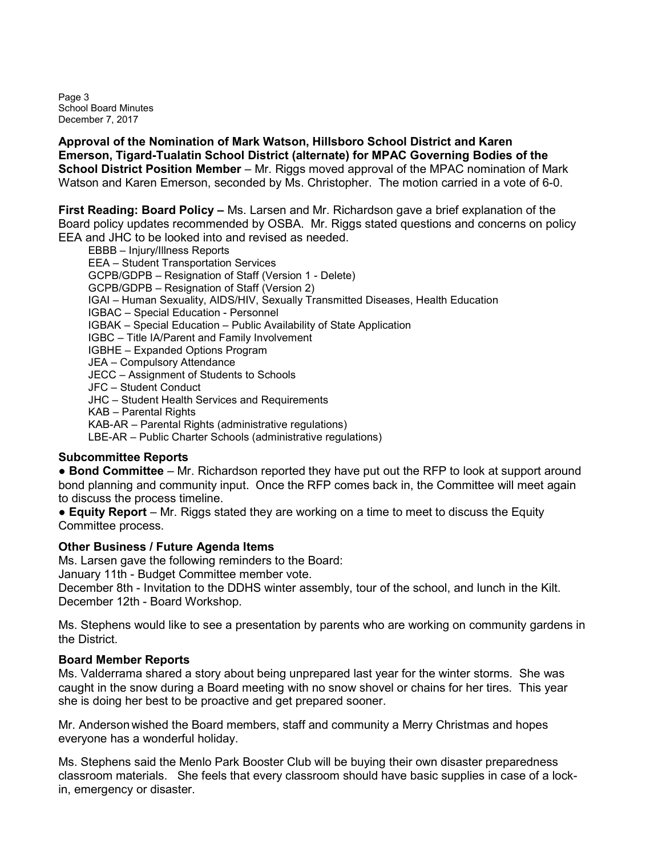Page 3 School Board Minutes December 7, 2017

Approval of the Nomination of Mark Watson, Hillsboro School District and Karen Emerson, Tigard-Tualatin School District (alternate) for MPAC Governing Bodies of the School District Position Member – Mr. Riggs moved approval of the MPAC nomination of Mark Watson and Karen Emerson, seconded by Ms. Christopher. The motion carried in a vote of 6-0.

First Reading: Board Policy – Ms. Larsen and Mr. Richardson gave a brief explanation of the Board policy updates recommended by OSBA. Mr. Riggs stated questions and concerns on policy EEA and JHC to be looked into and revised as needed.

 EBBB – Injury/Illness Reports EEA – Student Transportation Services GCPB/GDPB – Resignation of Staff (Version 1 - Delete) GCPB/GDPB – Resignation of Staff (Version 2) IGAI – Human Sexuality, AIDS/HIV, Sexually Transmitted Diseases, Health Education IGBAC – Special Education - Personnel IGBAK – Special Education – Public Availability of State Application IGBC – Title IA/Parent and Family Involvement IGBHE – Expanded Options Program JEA – Compulsory Attendance JECC – Assignment of Students to Schools JFC – Student Conduct JHC – Student Health Services and Requirements KAB – Parental Rights KAB-AR – Parental Rights (administrative regulations) LBE-AR – Public Charter Schools (administrative regulations)

## Subcommittee Reports

● Bond Committee – Mr. Richardson reported they have put out the RFP to look at support around bond planning and community input. Once the RFP comes back in, the Committee will meet again to discuss the process timeline.

 $\bullet$  Equity Report – Mr. Riggs stated they are working on a time to meet to discuss the Equity Committee process.

### Other Business / Future Agenda Items

Ms. Larsen gave the following reminders to the Board:

January 11th - Budget Committee member vote.

December 8th - Invitation to the DDHS winter assembly, tour of the school, and lunch in the Kilt. December 12th - Board Workshop.

Ms. Stephens would like to see a presentation by parents who are working on community gardens in the District.

### Board Member Reports

Ms. Valderrama shared a story about being unprepared last year for the winter storms. She was caught in the snow during a Board meeting with no snow shovel or chains for her tires. This year she is doing her best to be proactive and get prepared sooner.

Mr. Anderson wished the Board members, staff and community a Merry Christmas and hopes everyone has a wonderful holiday.

Ms. Stephens said the Menlo Park Booster Club will be buying their own disaster preparedness classroom materials. She feels that every classroom should have basic supplies in case of a lockin, emergency or disaster.